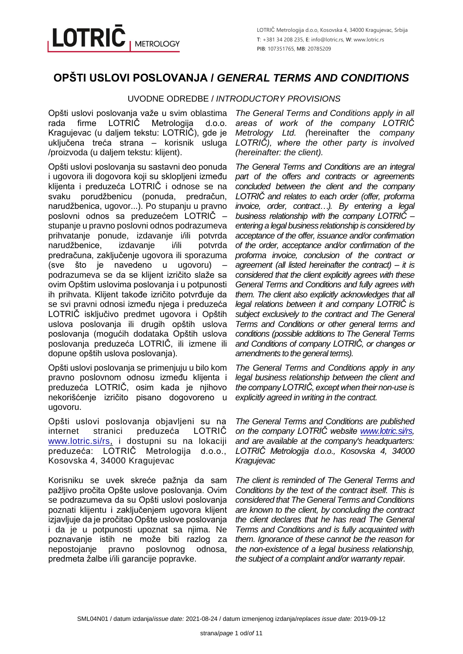# **OPŠTI USLOVI POSLOVANJA /** *GENERAL TERMS AND CONDITIONS*

# UVODNE ODREDBE / *INTRODUCTORY PROVISIONS*

Opšti uslovi poslovanja važe u svim oblastima<br>rada firme LOTRIČ Metrologija d.o.o. rada firme LOTRIČ Metrologija d.o.o. Kragujevac (u daljem tekstu: LOTRIČ), gde je uključena treća strana – korisnik usluga /proizvoda (u daljem tekstu: klijent).

Opšti uslovi poslovanja su sastavni deo ponuda i ugovora ili dogovora koji su sklopljeni između klijenta i preduzeća LOTRIČ i odnose se na svaku porudžbenicu (ponuda, predračun, narudžbenica, ugovor...). Po stupanju u pravno poslovni odnos sa preduzećem LOTRIČ – stupanje u pravno poslovni odnos podrazumeva prihvatanje ponude, izdavanje i/ili potvrda narudžbenice, izdavanje i/ili potvrda predračuna, zaključenje ugovora ili sporazuma (sve što je navedeno u ugovoru) – podrazumeva se da se klijent izričito slaže sa ovim Opštim uslovima poslovanja i u potpunosti ih prihvata. Klijent takođe izričito potvrđuje da se svi pravni odnosi između njega i preduzeća LOTRIČ isključivo predmet ugovora i Opštih uslova poslovanja ili drugih opštih uslova poslovanja (mogućih dodataka Opštih uslova poslovanja preduzeća LOTRIČ, ili izmene ili dopune opštih uslova poslovanja).

Opšti uslovi poslovanja se primenjuju u bilo kom pravno poslovnom odnosu između klijenta i preduzeća LOTRIČ, osim kada je njihovo nekorišćenje izričito pisano dogovoreno u ugovoru.

Opšti uslovi poslovanja objavljeni su na internet stranici preduzeća LOTRIČ [www.lotric.si/rs,](http://www.lotric.si/rs) i dostupni su na lokaciji preduzeća: LOTRIČ Metrologija d.o.o., Kosovska 4, 34000 Kragujevac

Korisniku se uvek skreće pažnja da sam pažljivo pročita Opšte uslove poslovanja. Ovim se podrazumeva da su Opšti uslovi poslovanja poznati klijentu i zaključenjem ugovora klijent izjavljuje da je pročitao Opšte uslove poslovanja i da je u potpunosti upoznat sa njima. Ne poznavanje istih ne može biti razlog za nepostojanje pravno poslovnog odnosa, predmeta žalbe i/ili garancije popravke.

*The General Terms and Conditions apply in all areas of work of the company LOTRIČ Metrology Ltd. (*hereinafter the *company LOTRIČ), where the other party is involved (hereinafter: the client).*

*The General Terms and Conditions are an integral part of the offers and contracts or agreements concluded between the client and the company LOTRIČ and relates to each order (offer, proforma invoice, order, contract…). By entering a legal business relationship with the company LOTRIČ – entering a legal business relationship is considered by acceptance of the offer, issuance and/or confirmation of the order, acceptance and/or confirmation of the proforma invoice, conclusion of the contract or agreement (all listed hereinafter the contract) – it is considered that the client explicitly agrees with these General Terms and Conditions and fully agrees with them. The client also explicitly acknowledges that all legal relations between it and company LOTRIČ is subject exclusively to the contract and The General Terms and Conditions or other general terms and conditions (possible additions to The General Terms and Conditions of company LOTRIČ, or changes or amendments to the general terms).*

*The General Terms and Conditions apply in any legal business relationship between the client and the company LOTRIČ, except when their non-use is explicitly agreed in writing in the contract.*

*The General Terms and Conditions are published on the company LOTRIČ website [www.lotric.si/rs,](http://www.lotric.si/rs) and are available at the company's headquarters: LOTRIČ Metrologija d.o.o., Kosovska 4, 34000 Kragujevac*

*The client is reminded of The General Terms and Conditions by the text of the contract itself. This is considered that The General Terms and Conditions are known to the client, by concluding the contract the client declares that he has read The General Terms and Conditions and is fully acquainted with them. Ignorance of these cannot be the reason for the non-existence of a legal business relationship, the subject of a complaint and/or warranty repair.*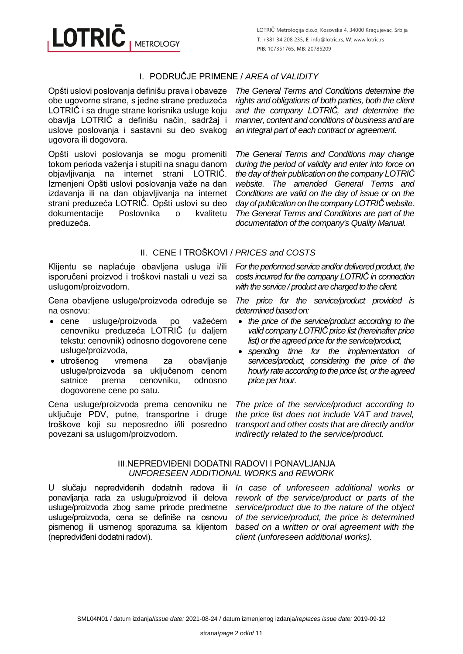# I. PODRUČJE PRIMENE / *AREA of VALIDITY*

Opšti uslovi poslovanja definišu prava i obaveze obe ugovorne strane, s jedne strane preduzeća LOTRIČ i sa druge strane korisnika usluge koju obavlja LOTRIČ a definišu način, sadržaj i uslove poslovanja i sastavni su deo svakog ugovora ili dogovora.

**METROLOGY** 

**LOTRIC** 

Opšti uslovi poslovanja se mogu promeniti tokom perioda važenja i stupiti na snagu danom objavljivanja na internet strani LOTRIČ. Izmenjeni Opšti uslovi poslovanja važe na dan izdavanja ili na dan objavljivanja na internet strani preduzeća LOTRIČ. Opšti uslovi su deo dokumentacije Poslovnika o kvalitetu preduzeća.

*The General Terms and Conditions determine the rights and obligations of both parties, both the client and the company LOTRIČ, and determine the manner, content and conditions of business and are an integral part of each contract or agreement.*

*The General Terms and Conditions may change during the period of validity and enter into force on the day of their publication on the company LOTRIČ website. The amended General Terms and Conditions are valid on the day of issue or on the day of publication on the company LOTRIČ website. The General Terms and Conditions are part of the documentation of the company's Quality Manual.*

# II. CENE I TROŠKOVI / *PRICES and COSTS*

Klijentu se naplaćuje obavljena usluga i/ili isporučeni proizvod i troškovi nastali u vezi sa uslugom/proizvodom.

Cena obavljene usluge/proizvoda određuje se na osnovu:

- cene usluge/proizvoda po važećem cenovniku preduzeća LOTRIČ (u daljem tekstu: cenovnik) odnosno dogovorene cene usluge/proizvoda,
- utrošenog vremena za obavljanje usluge/proizvoda sa uključenom cenom satnice prema cenovniku, odnosno dogovorene cene po satu.

Cena usluge/proizvoda prema cenovniku ne uključuje PDV, putne, transportne i druge troškove koji su neposredno i/ili posredno povezani sa uslugom/proizvodom.

*For the performed service and/or delivered product, the costs incurred for the company LOTRIČ in connection with the service / product are charged to the client.*

*The price for the service/product provided is determined based on:*

- *the price of the service/product according to the valid company LOTRIČ price list (hereinafter price list) or the agreed price for the service/product,*
- *spending time for the implementation of services/product, considering the price of the hourly rate according to the price list, or the agreed price per hour.*

*The price of the service/product according to the price list does not include VAT and travel, transport and other costs that are directly and/or indirectly related to the service/product.*

#### III.NEPREDVIĐENI DODATNI RADOVI I PONAVLJANJA *UNFORESEEN ADDITIONAL WORKS and REWORK*

U slučaju nepredviđenih dodatnih radova ili ponavljanja rada za uslugu/proizvod ili delova usluge/proizvoda zbog same prirode predmetne usluge/proizvoda, cena se definiše na osnovu pismenog ili usmenog sporazuma sa klijentom (nepredviđeni dodatni radovi).

*In case of unforeseen additional works or rework of the service/product or parts of the service/product due to the nature of the object of the service/product, the price is determined based on a written or oral agreement with the client (unforeseen additional works).*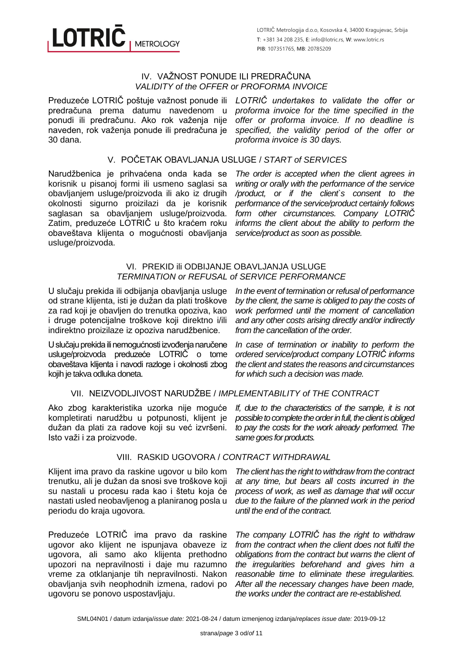#### IV. VAŽNOST PONUDE ILI PREDRAČUNA *VALIDITY of the OFFER or PROFORMA INVOICE*

Preduzeće LOTRIČ poštuje važnost ponude ili *LOTRIČ undertakes to validate the offer or*  predračuna prema datumu navedenom u ponudi ili predračunu. Ako rok važenja nije naveden, rok važenja ponude ili predračuna je 30 dana.

**METROLOGY** 

**LOTRIC** 

*proforma invoice for the time specified in the offer or proforma invoice. If no deadline is specified, the validity period of the offer or proforma invoice is 30 days.*

### V. POČETAK OBAVLJANJA USLUGE / *START of SERVICES*

Narudžbenica je prihvaćena onda kada se korisnik u pisanoj formi ili usmeno saglasi sa obavljanjem usluge/proizvoda ili ako iz drugih okolnosti sigurno proizilazi da je korisnik saglasan sa obavljanjem usluge/proizvoda. Zatim, preduzeće LOTRIČ u što kraćem roku obaveštava klijenta o mogućnosti obavljanja usluge/proizvoda.

*The order is accepted when the client agrees in writing or orally with the performance of the service /product, or if the client`s consent to the performance of the service/product certainly follows form other circumstances. Company LOTRIČ informs the client about the ability to perform the service/product as soon as possible.*

#### VI. PREKID ili ODBIJANJE OBAVLJANJA USLUGE *TERMINATION or REFUSAL of SERVICE PERFORMANCE*

U slučaju prekida ili odbijanja obavljanja usluge od strane klijenta, isti je dužan da plati troškove za rad koji je obavljen do trenutka opoziva, kao i druge potencijalne troškove koji direktno i/ili indirektno proizilaze iz opoziva narudžbenice.

U slučaju prekida ili nemogućnosti izvođenja naručene usluge/proizvoda preduzeće LOTRIČ o tome obaveštava klijenta i navodi razloge i okolnosti zbog kojih je takva odluka doneta.

*In the event of termination or refusal of performance by the client, the same is obliged to pay the costs of work performed until the moment of cancellation and any other costs arising directly and/or indirectly from the cancellation of the order.*

*In case of termination or inability to perform the ordered service/product company LOTRIČ informs the client and states the reasons and circumstances for which such a decision was made.*

#### VII. NEIZVODLJIVOST NARUDŽBE / *IMPLEMENTABILITY of THE CONTRACT*

Ako zbog karakteristika uzorka nije moguće kompletirati narudžbu u potpunosti, klijent je dužan da plati za radove koji su već izvršeni. Isto važi i za proizvode.

*If, due to the characteristics of the sample, it is not possible to complete the order in full, the clientis obliged to pay the costs for the work already performed. The same goes for products.*

#### VIII. RASKID UGOVORA / *CONTRACT WITHDRAWAL*

Klijent ima pravo da raskine ugovor u bilo kom trenutku, ali je dužan da snosi sve troškove koji su nastali u procesu rada kao i štetu koja će nastati usled neobavljenog a planiranog posla u periodu do kraja ugovora.

Preduzeće LOTRIČ ima pravo da raskine ugovor ako klijent ne ispunjava obaveze iz ugovora, ali samo ako klijenta prethodno upozori na nepravilnosti i daje mu razumno vreme za otklanjanje tih nepravilnosti. Nakon obavljanja svih neophodnih izmena, radovi po ugovoru se ponovo uspostavljaju.

*The client has the right to withdraw from the contract at any time, but bears all costs incurred in the process of work, as well as damage that will occur due to the failure of the planned work in the period until the end of the contract.*

*The company LOTRIČ has the right to withdraw from the contract when the client does not fulfil the obligations from the contract but warns the client of the irregularities beforehand and gives him a reasonable time to eliminate these irregularities. After all the necessary changes have been made, the works under the contract are re-established.*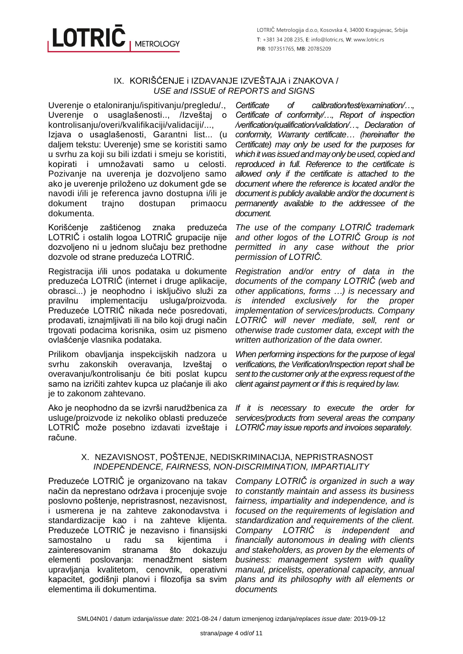# **LOTRIC METROLOGY**

#### IX. KORIŠĆENJE i IZDAVANJE IZVEŠTAJA i ZNAKOVA / *USE and ISSUE of REPORTS and SIGNS*

Uverenje o etaloniranju/ispitivanju/pregledu/., Uverenje o usaglašenosti.., /Izveštaj o kontrolisanju/overi/kvalifikaciji/validaciji/...,

Izjava o usaglašenosti, Garantni list... (u daljem tekstu: Uverenje) sme se koristiti samo u svrhu za koji su bili izdati i smeju se koristiti, kopirati i umnožavati samo u celosti. Pozivanje na uverenja je dozvoljeno samo ako je uverenje priloženo uz dokument gde se navodi i/ili je referenca javno dostupna i/ili je dokument trajno dostupan primaocu dokumenta.

Korišćenje zaštićenog znaka preduzeća LOTRIČ i ostalih logoa LOTRIČ grupacije nije dozvoljeno ni u jednom slučaju bez prethodne dozvole od strane preduzeća LOTRIČ.

Registracija i/ili unos podataka u dokumente preduzeća LOTRIČ (internet i druge aplikacije, obrasci...) je neophodno i isključivo služi za pravilnu implementaciju usluga/proizvoda. Preduzeće LOTRIČ nikada neće posredovati, prodavati, iznajmljivati ili na bilo koji drugi način trgovati podacima korisnika, osim uz pismeno ovlašćenje vlasnika podataka.

Prilikom obavljanja inspekcijskih nadzora u svrhu zakonskih overavanja, Izveštaj o overavanju/kontrolisanju će biti poslat kupcu samo na izričiti zahtev kupca uz plaćanje ili ako je to zakonom zahtevano.

Ako je neophodno da se izvrši narudžbenica za usluge/proizvode iz nekoliko oblasti preduzeće LOTRIČ može posebno izdavati izveštaje i račune.

*Certificate of calibration/test/examination/…, Certificate of conformity/…, Report of inspection /verification/qualification/validation/…, Declaration of conformity, Warranty certificate… (hereinafter the Certificate) may only be used for the purposes for which it was issued and may only be used, copied and reproduced in full. Reference to the certificate is allowed only if the certificate is attached to the document where the reference is located and/or the document is publicly available and/or the document is permanently available to the addressee of the document.*

*The use of the company LOTRIČ trademark and other logos of the LOTRIČ Group is not permitted in any case without the prior permission of LOTRIČ.*

*Registration and/or entry of data in the documents of the company LOTRIČ (web and other applications, forms …) is necessary and is intended exclusively for the proper implementation of services/products. Company LOTRIČ will never mediate, sell, rent or otherwise trade customer data, except with the written authorization of the data owner.*

*When performing inspections for the purpose of legal verifications, the Verification/Inspection report shall be sent to the customer only at the express request of the client against payment or if this is required by law.*

*If it is necessary to execute the order for services/products from several areas the company LOTRIČ may issue reports and invoices separately.*

#### X. NEZAVISNOST, POŠTENJE, NEDISKRIMINACIJA, NEPRISTRASNOST *INDEPENDENCE, FAIRNESS, NON-DISCRIMINATION, IMPARTIALITY*

Preduzeće LOTRIČ je organizovano na takav način da neprestano održava i procenjuje svoje poslovno poštenje, nepristrasnost, nezavisnost, i usmerena je na zahteve zakonodavstva i standardizacije kao i na zahteve klijenta. Preduzeće LOTRIČ je nezavisno i finansijski samostalno u radu sa kijentima i zainteresovanim stranama što dokazuju elementi poslovanja: menadžment sistem upravljanja kvalitetom, cenovnik, operativni kapacitet, godišnji planovi i filozofija sa svim elementima ili dokumentima.

*Company LOTRIČ is organized in such a way to constantly maintain and assess its business fairness, impartiality and independence, and is focused on the requirements of legislation and standardization and requirements of the client. Company LOTRIČ is independent and financially autonomous in dealing with clients and stakeholders, as proven by the elements of business: management system with quality manual, pricelists, operational capacity, annual plans and its philosophy with all elements or documents.*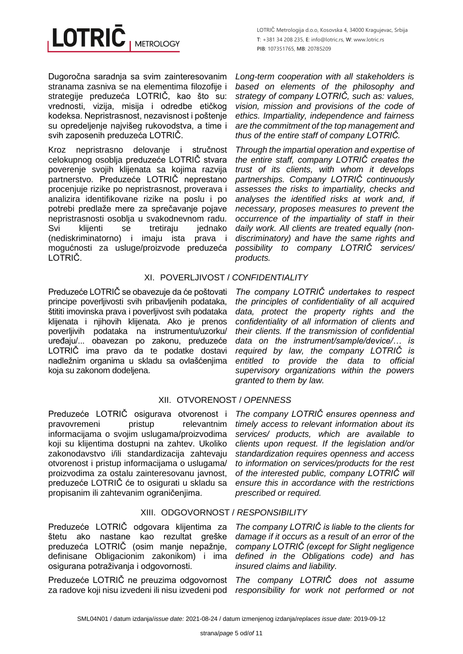LOTRIČ Metrologija d.o.o, Kosovska 4, 34000 Kragujevac, Srbija **T**: +381 34 208 235, **E**: info@lotric.rs, **W**: www.lotric.rs **PIB**: 107351765, **MB**: 20785209

Dugoročna saradnja sa svim zainteresovanim stranama zasniva se na elementima filozofije i strategije preduzeća LOTRIČ, kao što su: vrednosti, vizija, misija i odredbe etičkog kodeksa. Nepristrasnost, nezavisnost i poštenje su opredeljenje najvišeg rukovodstva, a time i svih zaposenih preduzeća LOTRIČ.

Kroz nepristrasno delovanje i stručnost celokupnog osoblja preduzeće LOTRIČ stvara poverenje svojih klijenata sa kojima razvija partnerstvo. Preduzeće LOTRIČ neprestano procenjuje rizike po nepristrasnost, proverava i analizira identifikovane rizike na poslu i po potrebi predlaže mere za sprečavanje pojave nepristrasnosti osoblja u svakodnevnom radu. Svi klijenti se tretiraju jednako (nediskriminatorno) i imaju ista prava i mogućnosti za usluge/proizvode preduzeća LOTRIČ.

*Long-term cooperation with all stakeholders is based on elements of the philosophy and strategy of company LOTRIČ, such as: values, vision, mission and provisions of the code of ethics. Impartiality, independence and fairness are the commitment of the top management and thus of the entire staff of company LOTRIČ.*

*Through the impartial operation and expertise of the entire staff, company LOTRIČ creates the trust of its clients, with whom it develops partnerships. Company LOTRIČ continuously assesses the risks to impartiality, checks and analyses the identified risks at work and, if necessary, proposes measures to prevent the occurrence of the impartiality of staff in their daily work. All clients are treated equally (nondiscriminatory) and have the same rights and possibility to company LOTRIČ services/ products.*

# XI. POVERLJIVOST / *CONFIDENTIALITY*

Preduzeće LOTRIČ se obavezuje da će poštovati principe poverljivosti svih pribavljenih podataka, štititi imovinska prava i poverljivost svih podataka klijenata i njihovih klijenata. Ako je prenos poverljivih podataka na instrumentu/uzorku/ uređaju/... obavezan po zakonu, preduzeće LOTRIČ ima pravo da te podatke dostavi nadležnim organima u skladu sa ovlašćenjima koja su zakonom dodeljena.

*The company LOTRIČ undertakes to respect the principles of confidentiality of all acquired data, protect the property rights and the confidentiality of all information of clients and their clients. If the transmission of confidential data on the instrument/sample/device/… is required by law, the company LOTRIČ is entitled to provide the data to official supervisory organizations within the powers granted to them by law.*

# XII. OTVORENOST / *OPENNESS*

Preduzeće LOTRIČ osigurava otvorenost i pravovremeni pristup relevantnim informacijama o svojim uslugama/proizvodima koji su klijentima dostupni na zahtev. Ukoliko zakonodavstvo i/ili standardizacija zahtevaju otvorenost i pristup informacijama o uslugama/ proizvodima za ostalu zainteresovanu javnost, preduzeće LOTRIČ će to osigurati u skladu sa propisanim ili zahtevanim ograničenjima.

# XIII. ODGOVORNOST / *RESPONSIBILITY*

Preduzeće LOTRIČ odgovara klijentima za štetu ako nastane kao rezultat greške preduzeća LOTRIČ (osim manje nepažnje, definisane Obligacionim zakonikom) i ima osigurana potraživanja i odgovornosti.

Preduzeće LOTRIČ ne preuzima odgovornost za radove koji nisu izvedeni ili nisu izvedeni pod

*The company LOTRIČ ensures openness and timely access to relevant information about its services/ products, which are available to clients upon request. If the legislation and/or standardization requires openness and access to information on services/products for the rest of the interested public, company LOTRIČ will ensure this in accordance with the restrictions prescribed or required.*

*The company LOTRIČ is liable to the clients for damage if it occurs as a result of an error of the company LOTRIČ (except for Slight negligence defined in the Obligations code) and has insured claims and liability.*

*The company LOTRIČ does not assume responsibility for work not performed or not*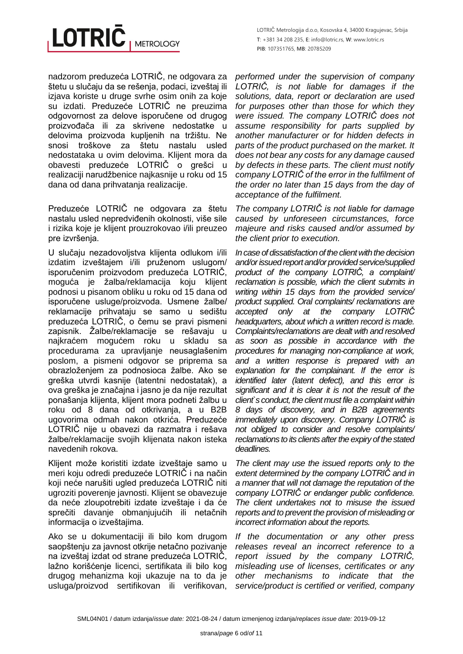

nadzorom preduzeća LOTRIČ, ne odgovara za štetu u slučaju da se rešenja, podaci, izveštaj ili izjava koriste u druge svrhe osim onih za koje su izdati. Preduzeće LOTRIČ ne preuzima odgovornost za delove isporučene od drugog proizvođača ili za skrivene nedostatke u delovima proizvoda kupljenih na tržištu. Ne snosi troškove za štetu nastalu usled nedostataka u ovim delovima. Klijent mora da obavesti preduzeće LOTRIČ o grešci u realizaciji narudžbenice najkasnije u roku od 15 dana od dana prihvatanja realizacije.

Preduzeće LOTRIČ ne odgovara za štetu nastalu usled nepredviđenih okolnosti, više sile i rizika koje je klijent prouzrokovao i/ili preuzeo pre izvršenja.

U slučaju nezadovoljstva klijenta odlukom i/ili izdatim izveštajem i/ili pruženom uslugom/ isporučenim proizvodom preduzeća LOTRIČ, moguća je žalba/reklamacija koju klijent podnosi u pisanom obliku u roku od 15 dana od isporučene usluge/proizvoda. Usmene žalbe/ reklamacije prihvataju se samo u sedištu preduzeća LOTRIČ, o čemu se pravi pismeni zapisnik. Žalbe/reklamacije se rešavaju u najkraćem mogućem roku u skladu sa procedurama za upravljanje neusaglašenim poslom, a pismeni odgovor se priprema sa obrazloženjem za podnosioca žalbe. Ako se greška utvrdi kasnije (latentni nedostatak), a ova greška je značajna i jasno je da nije rezultat ponašanja klijenta, klijent mora podneti žalbu u roku od 8 dana od otkrivanja, a u B2B ugovorima odmah nakon otkrića. Preduzeće LOTRIČ nije u obavezi da razmatra i rešava žalbe/reklamacije svojih klijenata nakon isteka navedenih rokova.

Klijent može koristiti izdate izveštaje samo u meri koju odredi preduzeće LOTRIČ i na način koji neće narušiti ugled preduzeća LOTRIČ niti ugroziti poverenje javnosti. Klijent se obavezuje da neće zloupotrebiti izdate izveštaje i da će sprečiti davanje obmanjujućih ili netačnih informacija o izveštajima.

Ako se u dokumentaciji ili bilo kom drugom saopštenju za javnost otkrije netačno pozivanje na izveštaj izdat od strane preduzeća LOTRIČ, lažno korišćenje licenci, sertifikata ili bilo kog drugog mehanizma koji ukazuje na to da je usluga/proizvod sertifikovan ili verifikovan,

*performed under the supervision of company LOTRIČ, is not liable for damages if the solutions, data, report or declaration are used for purposes other than those for which they were issued. The company LOTRIČ does not assume responsibility for parts supplied by another manufacturer or for hidden defects in parts of the product purchased on the market. It does not bear any costs for any damage caused by defects in these parts. The client must notify company LOTRIČ of the error in the fulfilment of the order no later than 15 days from the day of acceptance of the fulfilment.*

*The company LOTRIČ is not liable for damage caused by unforeseen circumstances, force majeure and risks caused and/or assumed by the client prior to execution.*

*In case of dissatisfaction of the client with the decision and/or issued report and/or provided service/supplied product of the company LOTRIČ, a complaint/ reclamation is possible, which the client submits in writing within 15 days from the provided service/ product supplied. Oral complaints/ reclamations are accepted only at the company LOTRIČ headquarters, about which a written record is made. Complaints/reclamations are dealt with and resolved as soon as possible in accordance with the procedures for managing non-compliance at work, and a written response is prepared with an explanation for the complainant. If the error is identified later (latent defect), and this error is significant and it is clear it is not the result of the client`s conduct, the client must file a complaint within 8 days of discovery, and in B2B agreements immediately upon discovery. Company LOTRIČ is not obliged to consider and resolve complaints/ reclamations to its clients after the expiry of the stated deadlines.*

*The client may use the issued reports only to the extent determined by the company LOTRIČ and in a manner that will not damage the reputation of the company LOTRIČ or endanger public confidence. The client undertakes not to misuse the issued reports and to prevent the provision of misleading or incorrect information about the reports.*

*If the documentation or any other press releases reveal an incorrect reference to a report issued by the company LOTRIČ, misleading use of licenses, certificates or any other mechanisms to indicate that the service/product is certified or verified, company*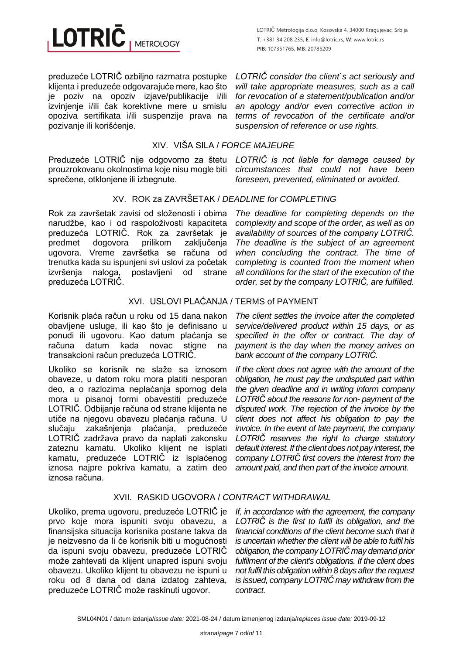

preduzeće LOTRIČ ozbiljno razmatra postupke klijenta i preduzeće odgovarajuće mere, kao što je poziv na opoziv izjave/publikacije i/ili izvinjenje i/ili čak korektivne mere u smislu opoziva sertifikata i/ili suspenzije prava na pozivanje ili korišćenje.

#### XIV. VIŠA SILA / *FORCE MAJEURE*

Preduzeće LOTRIČ nije odgovorno za štetu *LOTRIČ is not liable for damage caused by*  prouzrokovanu okolnostima koje nisu mogle biti sprečene, otklonjene ili izbegnute.

# XV. ROK za ZAVRŠETAK / *DEADLINE for COMPLETING*

Rok za završetak zavisi od složenosti i obima narudžbe, kao i od raspoloživosti kapaciteta preduzeća LOTRIČ. Rok za završetak je predmet dogovora prilikom zaključenja ugovora. Vreme završetka se računa od trenutka kada su ispunjeni svi uslovi za početak izvršenja naloga, postavljeni od strane preduzeća LOTRIČ.

# XVI. USLOVI PLAĆANJA / TERMS of PAYMENT

Korisnik plaća račun u roku od 15 dana nakon obavljene usluge, ili kao što je definisano u ponudi ili ugovoru. Kao datum plaćanja se računa datum kada novac stigne na transakcioni račun preduzeća LOTRIČ.

Ukoliko se korisnik ne slaže sa iznosom obaveze, u datom roku mora platiti nesporan deo, a o razlozima neplaćanja spornog dela mora u pisanoj formi obavestiti preduzeće LOTRIČ. Odbijanje računa od strane klijenta ne utiče na njegovu obavezu plaćanja računa. U slučaju zakašnjenja plaćanja, preduzeće LOTRIČ zadržava pravo da naplati zakonsku zateznu kamatu. Ukoliko klijent ne isplati kamatu, preduzeće LOTRIČ iz isplaćenog iznosa najpre pokriva kamatu, a zatim deo iznosa računa.

*LOTRIČ consider the client`s act seriously and will take appropriate measures, such as a call for revocation of a statement/publication and/or an apology and/or even corrective action in terms of revocation of the certificate and/or suspension of reference or use rights.*

*circumstances that could not have been foreseen, prevented, eliminated or avoided.*

*The deadline for completing depends on the complexity and scope of the order, as well as on availability of sources of the company LOTRIČ. The deadline is the subject of an agreement when concluding the contract. The time of completing is counted from the moment when all conditions for the start of the execution of the* 

*order, set by the company LOTRIČ, are fulfilled.*

*The client settles the invoice after the completed service/delivered product within 15 days, or as specified in the offer or contract. The day of payment is the day when the money arrives on bank account of the company LOTRIČ.*

*If the client does not agree with the amount of the obligation, he must pay the undisputed part within the given deadline and in writing inform company LOTRIČ about the reasons for non- payment of the disputed work. The rejection of the invoice by the client does not affect his obligation to pay the invoice. In the event of late payment, the company LOTRIČ reserves the right to charge statutory default interest. If the client does not pay interest, the company LOTRIČ first covers the interest from the amount paid, and then part of the invoice amount.*

# XVII. RASKID UGOVORA / *CONTRACT WITHDRAWAL*

Ukoliko, prema ugovoru, preduzeće LOTRIČ je prvo koje mora ispuniti svoju obavezu, a finansijska situacija korisnika postane takva da je neizvesno da li će korisnik biti u mogućnosti da ispuni svoju obavezu, preduzeće LOTRIČ može zahtevati da klijent unapred ispuni svoju obavezu. Ukoliko klijent tu obavezu ne ispuni u roku od 8 dana od dana izdatog zahteva, preduzeće LOTRIČ može raskinuti ugovor.

*If, in accordance with the agreement, the company LOTRIČ is the first to fulfil its obligation, and the financial conditions of the client become such that it is uncertain whether the client will be able to fulfil his obligation, the company LOTRIČ may demand prior fulfilment of the client's obligations. If the client does not fulfil this obligation within 8 days after the request is issued, company LOTRIČ may withdraw from the contract.*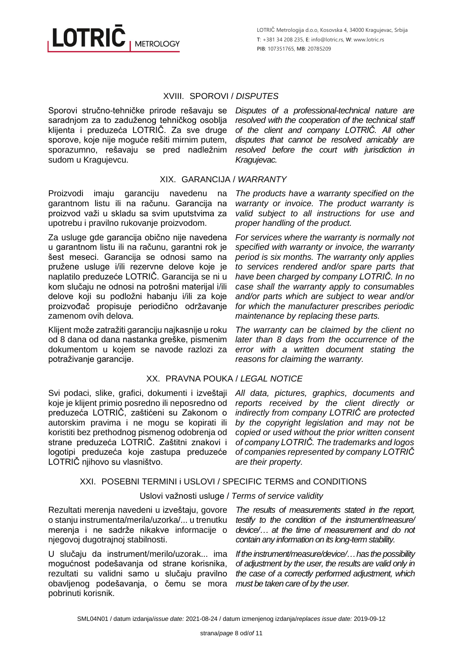LOTRIČ Metrologija d.o.o, Kosovska 4, 34000 Kragujevac, Srbija **T**: +381 34 208 235, **E**: info@lotric.rs, **W**: www.lotric.rs **PIB**: 107351765, **MB**: 20785209

#### XVIII. SPOROVI / *DISPUTES*

Sporovi stručno-tehničke prirode rešavaju se saradnjom za to zaduženog tehničkog osoblja klijenta i preduzeća LOTRIČ. Za sve druge sporove, koje nije moguće rešiti mirnim putem, sporazumno, rešavaju se pred nadležnim sudom u Kragujevcu.

*Disputes of a professional-technical nature are resolved with the cooperation of the technical staff of the client and company LOTRIČ. All other disputes that cannot be resolved amicably are resolved before the court with jurisdiction in Kragujevac.*

*The products have a warranty specified on the warranty or invoice. The product warranty is valid subject to all instructions for use and* 

*For services where the warranty is normally not specified with warranty or invoice, the warranty period is six months. The warranty only applies to services rendered and/or spare parts that have been charged by company LOTRIČ. In no case shall the warranty apply to consumables and/or parts which are subject to wear and/or for which the manufacturer prescribes periodic* 

*proper handling of the product.*

#### XIX. GARANCIJA / *WARRANTY*

Proizvodi imaju garanciju navedenu na garantnom listu ili na računu. Garancija na proizvod važi u skladu sa svim uputstvima za upotrebu i pravilno rukovanje proizvodom.

Za usluge gde garancija obično nije navedena u garantnom listu ili na računu, garantni rok je šest meseci. Garancija se odnosi samo na pružene usluge i/ili rezervne delove koje je naplatilo preduzeće LOTRIČ. Garancija se ni u kom slučaju ne odnosi na potrošni materijal i/ili delove koji su podložni habanju i/ili za koje proizvođač propisuje periodično održavanje zamenom ovih delova.

Klijent može zatražiti garanciju najkasnije u roku od 8 dana od dana nastanka greške, pismenim dokumentom u kojem se navode razlozi za potraživanje garancije.

#### XX. PRAVNA POUKA / *LEGAL NOTICE*

Svi podaci, slike, grafici, dokumenti i izveštaji koje je klijent primio posredno ili neposredno od preduzeća LOTRIČ, zaštićeni su Zakonom o autorskim pravima i ne mogu se kopirati ili koristiti bez prethodnog pismenog odobrenja od strane preduzeća LOTRIČ. Zaštitni znakovi i logotipi preduzeća koje zastupa preduzeće LOTRIČ njihovo su vlasništvo.

*The warranty can be claimed by the client no later than 8 days from the occurrence of the error with a written document stating the reasons for claiming the warranty. All data, pictures, graphics, documents and* 

*maintenance by replacing these parts.*

*reports received by the client directly or indirectly from company LOTRIČ are protected by the copyright legislation and may not be copied or used without the prior written consent of company LOTRIČ. The trademarks and logos of companies represented by company LOTRIČ are their property.*

#### XXI. POSEBNI TERMINI i USLOVI / SPECIFIC TERMS and CONDITIONS

#### Uslovi važnosti usluge / *Terms of service validity*

Rezultati merenja navedeni u izveštaju, govore o stanju instrumenta/merila/uzorka/... u trenutku merenja i ne sadrže nikakve informacije o njegovoj dugotrajnoj stabilnosti.

U slučaju da instrument/merilo/uzorak... ima mogućnost podešavanja od strane korisnika, rezultati su validni samo u slučaju pravilno obavljenog podešavanja, o čemu se mora pobrinuti korisnik.

*The results of measurements stated in the report, testify to the condition of the instrument/measure/ device/… at the time of measurement and do not contain any information on its long-term stability.*

*If the instrument/measure/device/…has the possibility of adjustment by the user, the results are valid only in the case of a correctly performed adjustment, which must be taken care of by the user.*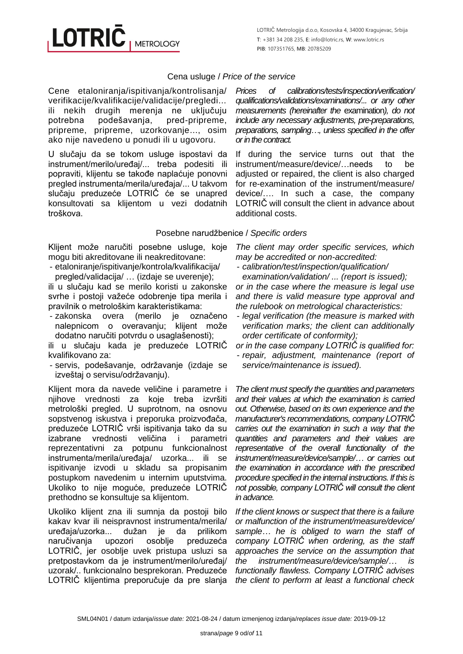# Cena usluge / *Price of the service*

Cene etaloniranja/ispitivanja/kontrolisanja/ verifikacije/kvalifikacije/validacije/pregledi... ili nekih drugih merenja ne uključuju potrebna podešavanja, pred-pripreme, pripreme, pripreme, uzorkovanje..., osim ako nije navedeno u ponudi ili u ugovoru.

U slučaju da se tokom usluge ispostavi da instrument/merilo/uređaj/... treba podesiti ili popraviti, klijentu se takođe naplaćuje ponovni pregled instrumenta/merila/uređaja/... U takvom slučaju preduzeće LOTRIČ će se unapred konsultovati sa klijentom u vezi dodatnih troškova.

*Prices of calibrations/tests/inspection/verification/ qualifications/validations/examinations/... or any other measurements (hereinafter the* examination*), do not include any necessary adjustments, pre-preparations, preparations, sampling…, unless specified in the offer or in the contract.*

If during the service turns out that the instrument/measure/device/…needs to be adjusted or repaired, the client is also charged for re-examination of the instrument/measure/ device/…. In such a case, the company LOTRIČ will consult the client in advance about additional costs.

#### Posebne narudžbenice / *Specific orders*

Klijent može naručiti posebne usluge, koje mogu biti akreditovane ili neakreditovane:

- etaloniranje/ispitivanje/kontrola/kvalifikacija/
- pregled/validacija/ … (izdaje se uverenje);

ili u slučaju kad se merilo koristi u zakonske svrhe i postoji važeće odobrenje tipa merila i pravilnik o metrološkim karakteristikama:

- zakonska overa (merilo je označeno nalepnicom o overavanju; klijent može dodatno naručiti potvrdu o usaglašenosti);

ili u slučaju kada je preduzeće LOTRIČ kvalifikovano za:

- servis, podešavanje, održavanje (izdaje se izveštaj o servisu/održavanju).

Klijent mora da navede veličine i parametre i njihove vrednosti za koje treba izvršiti metrološki pregled. U suprotnom, na osnovu sopstvenog iskustva i preporuka proizvođača, preduzeće LOTRIČ vrši ispitivanja tako da su<br>izabrane vrednosti veličina i parametri izabrane vrednosti veličina i parametri reprezentativni za potpunu funkcionalnost instrumenta/merila/uređaja/ uzorka... ili se ispitivanje izvodi u skladu sa propisanim postupkom navedenim u internim uputstvima. Ukoliko to nije moguće, preduzeće LOTRIČ prethodno se konsultuje sa klijentom.

Ukoliko klijent zna ili sumnja da postoji bilo kakav kvar ili neispravnost instrumenta/merila/ uređaja/uzorka... dužan je da prilikom naručivanja upozori osoblje preduzeća LOTRIČ, jer osoblje uvek pristupa usluzi sa pretpostavkom da je instrument/merilo/uređaj/ uzorak/.. funkcionalno besprekoran. Preduzeće LOTRIČ klijentima preporučuje da pre slanja

*The client may order specific services, which may be accredited or non-accredited:*

- *calibration/test/inspection/qualification/ examination/validation/ ... (report is issued); or in the case where the measure is legal use and there is valid measure type approval and* 

*the rulebook on metrological characteristics:* 

- *legal verification (the measure is marked with verification marks; the client can additionally order certificate of conformity);*

*or in the case company LOTRIČ is qualified for:* 

- *repair, adjustment, maintenance (report of service/maintenance is issued).*

*The client must specify the quantities and parameters and their values at which the examination is carried out. Otherwise, based on its own experience and the manufacturer's recommendations, company LOTRIČ carries out the examination in such a way that the quantities and parameters and their values are representative of the overall functionality of the instrument/measure/device/sample/… or carries out the examination in accordance with the prescribed procedure specified in the internal instructions. If this is not possible, company LOTRIČ will consult the client in advance.*

*If the client knows or suspect that there is a failure or malfunction of the instrument/measure/device/ sample… he is obliged to warn the staff of company LOTRIČ when ordering, as the staff approaches the service on the assumption that the instrument/measure/device/sample/… is functionally flawless. Company LOTRIČ advises the client to perform at least a functional check*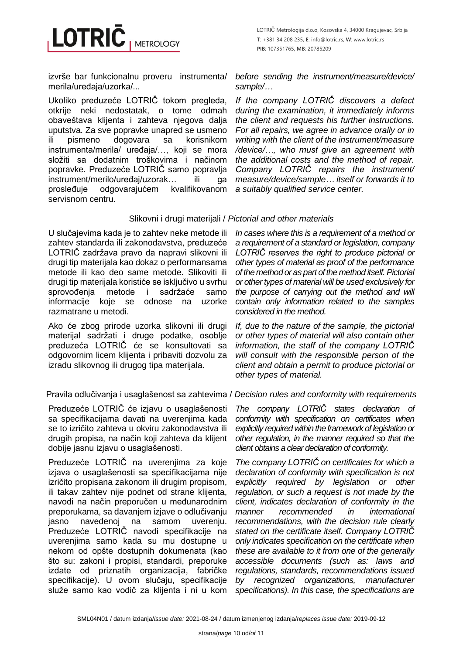LOTRIČ Metrologija d.o.o, Kosovska 4, 34000 Kragujevac, Srbija **T**: +381 34 208 235, **E**: info@lotric.rs, **W**: www.lotric.rs **PIB**: 107351765, **MB**: 20785209

izvrše bar funkcionalnu proveru instrumenta/ merila/uređaja/uzorka/...

Ukoliko preduzeće LOTRIČ tokom pregleda, otkrije neki nedostatak, o tome odmah obaveštava klijenta i zahteva njegova dalja uputstva. Za sve popravke unapred se usmeno<br>ili pismeno dogovara sa korisnikom ili pismeno dogovara sa korisnikom instrumenta/merila/ uređaja/…, koji se mora složiti sa dodatnim troškovima i načinom popravke. Preduzeće LOTRIČ samo popravlja instrument/merilo/uređaj/uzorak... ili ga prosleđuje odgovarajućem kvalifikovanom servisnom centru.

*before sending the instrument/measure/device/ sample/…*

*If the company LOTRIČ discovers a defect during the examination, it immediately informs the client and requests his further instructions. For all repairs, we agree in advance orally or in writing with the client of the instrument/measure /device/…, who must give an agreement with the additional costs and the method of repair. Company LOTRIČ repairs the instrument/ measure/device/sample… itself or forwards it to a suitably qualified service center.*

#### Slikovni i drugi materijali / *Pictorial and other materials*

U slučajevima kada je to zahtev neke metode ili zahtev standarda ili zakonodavstva, preduzeće LOTRIČ zadržava pravo da napravi slikovni ili drugi tip materijala kao dokaz o performansama metode ili kao deo same metode. Slikoviti ili drugi tip materijala koristiće se isključivo u svrhu sprovođenja metode i sadržaće samo informacije koje se odnose na uzorke razmatrane u metodi.

Ako će zbog prirode uzorka slikovni ili drugi materijal sadržati i druge podatke, osoblje preduzeća LOTRIČ će se konsultovati sa odgovornim licem klijenta i pribaviti dozvolu za izradu slikovnog ili drugog tipa materijala.

Preduzeće LOTRIČ će izjavu o usaglašenosti sa specifikacijama davati na uverenjima kada se to izričito zahteva u okviru zakonodavstva ili drugih propisa, na način koji zahteva da klijent dobije jasnu izjavu o usaglašenosti.

Preduzeće LOTRIČ na uverenjima za koje izjava o usaglašenosti sa specifikacijama nije izričito propisana zakonom ili drugim propisom, ili takav zahtev nije podnet od strane klijenta, navodi na način preporučen u međunarodnim preporukama, sa davanjem izjave o odlučivanju jasno navedenoj na samom uverenju. Preduzeće LOTRIČ navodi specifikacije na uverenjima samo kada su mu dostupne u nekom od opšte dostupnih dokumenata (kao što su: zakoni i propisi, standardi, preporuke izdate od priznatih organizacija, fabričke specifikacije). U ovom slučaju, specifikacije služe samo kao vodič za klijenta i ni u kom

*In cases where this is a requirement of a method or a requirement of a standard or legislation, company LOTRIČ reserves the right to produce pictorial or other types of material as proof of the performance of the method or as part of the method itself. Pictorial or other types of material will be used exclusively for the purpose of carrying out the method and will contain only information related to the samples considered in the method.*

*If, due to the nature of the sample, the pictorial or other types of material will also contain other information, the staff of the company LOTRIČ will consult with the responsible person of the client and obtain a permit to produce pictorial or other types of material.*

Pravila odlučivanja i usaglašenost sa zahtevima / *Decision rules and conformity with requirements*

*The company LOTRIČ states declaration of conformity with specification on certificates when explicitly required within the framework of legislation or other regulation, in the manner required so that the client obtains a clear declaration of conformity.*

*The company LOTRIČ on certificates for which a declaration of conformity with specification is not explicitly required by legislation or other regulation, or such a request is not made by the client, indicates declaration of conformity in the manner recommended in international recommendations, with the decision rule clearly stated on the certificate itself. Company LOTRIČ only indicates specification on the certificate when these are available to it from one of the generally accessible documents (such as: laws and regulations, standards, recommendations issued by recognized organizations, manufacturer specifications). In this case, the specifications are*